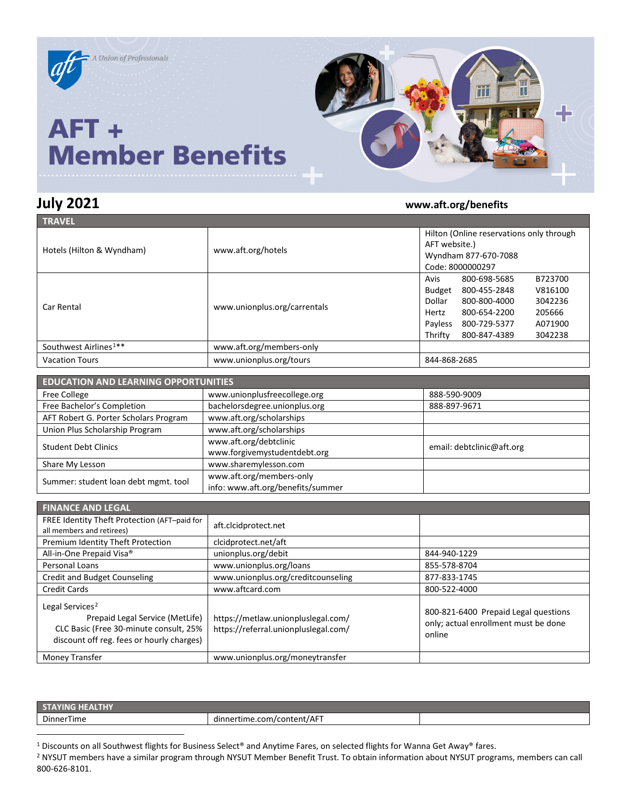

## **July 2021 www.aft.org/benefits**

| <b>TRAVEL</b>                     |                              |                                          |              |         |
|-----------------------------------|------------------------------|------------------------------------------|--------------|---------|
|                                   |                              | Hilton (Online reservations only through |              |         |
|                                   | www.aft.org/hotels           | AFT website.)                            |              |         |
| Hotels (Hilton & Wyndham)         |                              | Wyndham 877-670-7088                     |              |         |
|                                   |                              | Code: 8000000297                         |              |         |
|                                   | www.unionplus.org/carrentals | Avis                                     | 800-698-5685 | B723700 |
| Car Rental                        |                              | Budget                                   | 800-455-2848 | V816100 |
|                                   |                              | Dollar                                   | 800-800-4000 | 3042236 |
|                                   |                              | Hertz                                    | 800-654-2200 | 205666  |
|                                   |                              | Payless                                  | 800-729-5377 | A071900 |
|                                   |                              | Thrifty                                  | 800-847-4389 | 3042238 |
| Southwest Airlines <sup>1**</sup> | www.aft.org/members-only     |                                          |              |         |
| <b>Vacation Tours</b>             | www.unionplus.org/tours      | 844-868-2685                             |              |         |

| <b>EDUCATION AND LEARNING OPPORTUNITIES</b> |                                                               |                           |  |
|---------------------------------------------|---------------------------------------------------------------|---------------------------|--|
| <b>Free College</b>                         | www.unionplusfreecollege.org                                  | 888-590-9009              |  |
| Free Bachelor's Completion                  | bachelorsdegree.unionplus.org                                 | 888-897-9671              |  |
| AFT Robert G. Porter Scholars Program       | www.aft.org/scholarships                                      |                           |  |
| Union Plus Scholarship Program              | www.aft.org/scholarships                                      |                           |  |
| <b>Student Debt Clinics</b>                 | www.aft.org/debtclinic<br>www.forgivemystudentdebt.org        | email: debtclinic@aft.org |  |
| Share My Lesson                             | www.sharemylesson.com                                         |                           |  |
| Summer: student loan debt mgmt. tool        | www.aft.org/members-only<br>info: www.aft.org/benefits/summer |                           |  |

| <b>FINANCE AND LEGAL</b>                                                                                                                              |                                                                            |                                                                                        |
|-------------------------------------------------------------------------------------------------------------------------------------------------------|----------------------------------------------------------------------------|----------------------------------------------------------------------------------------|
| FREE Identity Theft Protection (AFT-paid for<br>all members and retirees)                                                                             | aft.clcidprotect.net                                                       |                                                                                        |
| Premium Identity Theft Protection                                                                                                                     | clcidprotect.net/aft                                                       |                                                                                        |
| All-in-One Prepaid Visa®                                                                                                                              | unionplus.org/debit                                                        | 844-940-1229                                                                           |
| Personal Loans                                                                                                                                        | www.unionplus.org/loans                                                    | 855-578-8704                                                                           |
| <b>Credit and Budget Counseling</b>                                                                                                                   | www.unionplus.org/creditcounseling                                         | 877-833-1745                                                                           |
| Credit Cards                                                                                                                                          | www.aftcard.com                                                            | 800-522-4000                                                                           |
| Legal Services <sup>2</sup><br>Prepaid Legal Service (MetLife)<br>CLC Basic (Free 30-minute consult, 25%<br>discount off reg. fees or hourly charges) | https://metlaw.unionpluslegal.com/<br>https://referral.unionpluslegal.com/ | 800-821-6400 Prepaid Legal questions<br>only; actual enrollment must be done<br>online |
| Money Transfer                                                                                                                                        | www.unionplus.org/moneytransfer                                            |                                                                                        |

| STA        |                                 |  |
|------------|---------------------------------|--|
| DinnerTime | nertime.com/content/AFT<br>dinn |  |

<sup>1</sup> Discounts on all Southwest flights for Business Select® and Anytime Fares, on selected flights for Wanna Get Away® fares.

<sup>2</sup> NYSUT members have a similar program through NYSUT Member Benefit Trust. To obtain information about NYSUT programs, members can call 800-626-8101.